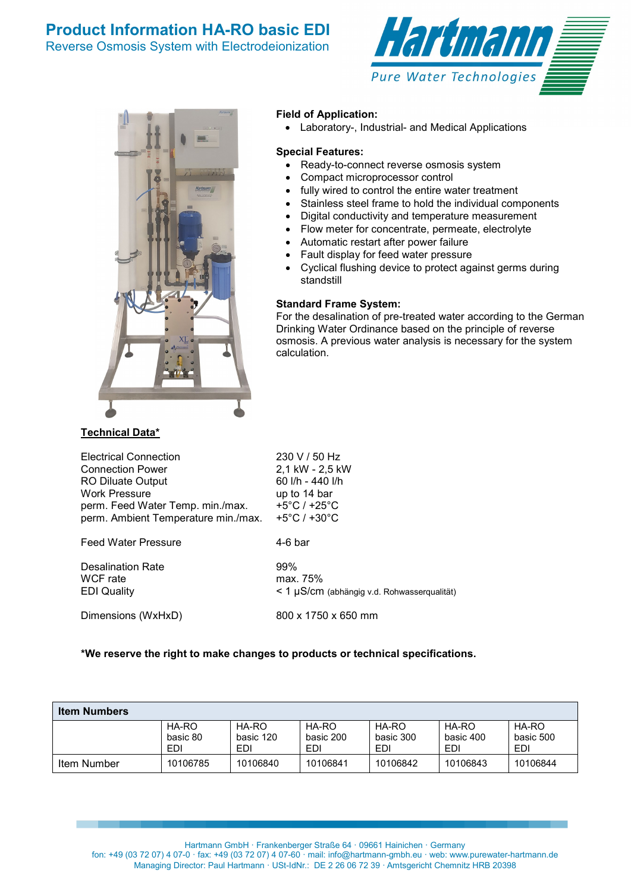



### **Field of Application:**

• Laboratory-, Industrial- and Medical Applications

### **Special Features:**

- Ready-to-connect reverse osmosis system
- Compact microprocessor control
- fully wired to control the entire water treatment
- Stainless steel frame to hold the individual components
- Digital conductivity and temperature measurement
- Flow meter for concentrate, permeate, electrolyte
- Automatic restart after power failure
- Fault display for feed water pressure
- Cyclical flushing device to protect against germs during standstill

### **Standard Frame System:**

For the desalination of pre-treated water according to the German Drinking Water Ordinance based on the principle of reverse osmosis. A previous water analysis is necessary for the system calculation.

| <b>Electrical Connection</b>        | 230 V / 50 Hz                      |
|-------------------------------------|------------------------------------|
| <b>Connection Power</b>             | 2,1 kW - 2,5 kW                    |
| <b>RO Diluate Output</b>            | 60 l/h - 440 l/h                   |
| <b>Work Pressure</b>                | up to 14 bar                       |
| perm. Feed Water Temp. min./max.    | +5 $^{\circ}$ C / +25 $^{\circ}$ C |
| perm. Ambient Temperature min./max. | +5 $^{\circ}$ C / +30 $^{\circ}$ C |
| <b>Feed Water Pressure</b>          | 4-6 har                            |

Desalination Rate 99%<br>
WCF rate 199% max.

max. 75% EDI Quality < 1 µS/cm (abhängig v.d. Rohwasserqualität)

Dimensions (WxHxD) 800 x 1750 x 650 mm

## **\*We reserve the right to make changes to products or technical specifications.**

| <b>Item Numbers</b> |                          |                           |                           |                           |                           |                           |
|---------------------|--------------------------|---------------------------|---------------------------|---------------------------|---------------------------|---------------------------|
|                     | HA-RO<br>basic 80<br>EDI | HA-RO<br>basic 120<br>EDI | HA-RO<br>basic 200<br>EDI | HA-RO<br>basic 300<br>EDI | HA-RO<br>basic 400<br>EDI | HA-RO<br>basic 500<br>EDI |
| Item Number         | 10106785                 | 10106840                  | 10106841                  | 10106842                  | 10106843                  | 10106844                  |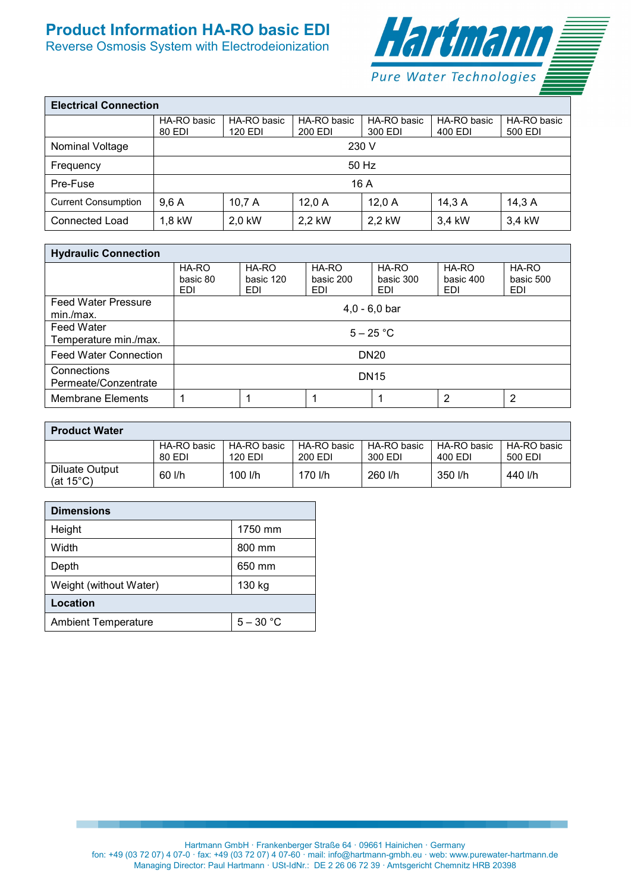# **Product Information HA-RO basic EDI**

Reverse Osmosis System with Electrodeionization



| <b>Electrical Connection</b> |             |             |             |             |             |             |
|------------------------------|-------------|-------------|-------------|-------------|-------------|-------------|
|                              | HA-RO basic | HA-RO basic | HA-RO basic | HA-RO basic | HA-RO basic | HA-RO basic |
|                              | 80 EDI      | 120 EDI     | 200 EDI     | 300 EDI     | 400 EDI     | 500 EDI     |
| Nominal Voltage              |             | 230 V       |             |             |             |             |
| Frequency                    | 50 Hz       |             |             |             |             |             |
| Pre-Fuse                     | 16A         |             |             |             |             |             |
| <b>Current Consumption</b>   | 9.6A        | 10,7A       | 12.0A       | 12.0A       | 14,3A       | 14,3A       |
| Connected Load               | 1,8 kW      | 2.0 kW      | 2.2 kW      | 2.2 kW      | 3.4 kW      | 3,4 kW      |

| <b>Hydraulic Connection</b>                |                                 |                           |                           |                           |                           |                                  |
|--------------------------------------------|---------------------------------|---------------------------|---------------------------|---------------------------|---------------------------|----------------------------------|
|                                            | HA-RO<br>basic 80<br><b>EDI</b> | HA-RO<br>basic 120<br>EDI | HA-RO<br>basic 200<br>EDI | HA-RO<br>basic 300<br>EDI | HA-RO<br>basic 400<br>EDI | HA-RO<br>basic 500<br><b>EDI</b> |
| <b>Feed Water Pressure</b><br>min./max.    | $4,0 - 6,0$ bar                 |                           |                           |                           |                           |                                  |
| <b>Feed Water</b><br>Temperature min./max. | $5 - 25 °C$                     |                           |                           |                           |                           |                                  |
| <b>Feed Water Connection</b>               | <b>DN20</b>                     |                           |                           |                           |                           |                                  |
| Connections<br>Permeate/Conzentrate        | <b>DN15</b>                     |                           |                           |                           |                           |                                  |
| <b>Membrane Elements</b>                   |                                 |                           |                           |                           | 2                         | 2                                |

| <b>Product Water</b>                  |             |             |             |             |             |             |
|---------------------------------------|-------------|-------------|-------------|-------------|-------------|-------------|
|                                       | HA-RO basic | HA-RO basic | HA-RO basic | HA-RO basic | HA-RO basic | HA-RO basic |
|                                       | 80 EDI      | 120 EDI     | 200 EDI     | 300 EDI     | 400 EDI     | 500 EDI     |
| Diluate Output<br>(at $15^{\circ}$ C) | 60 l/h      | $100$ I/h   | 170 l/h     | 260 l/h     | 350 l/h     | 440 l/h     |

| <b>Dimensions</b>          |             |  |  |  |
|----------------------------|-------------|--|--|--|
| Height                     | 1750 mm     |  |  |  |
| Width                      | 800 mm      |  |  |  |
| Depth                      | 650 mm      |  |  |  |
| Weight (without Water)     | 130 kg      |  |  |  |
| Location                   |             |  |  |  |
| <b>Ambient Temperature</b> | $5 - 30 °C$ |  |  |  |

Hartmann GmbH · Frankenberger Straße 64 · 09661 Hainichen · Germany fon: +49 (03 72 07) 4 07-0 · fax: +49 (03 72 07) 4 07-60 · mail: info@hartmann-gmbh.eu · web: www.purewater-hartmann.de Managing Director: Paul Hartmann · USt-IdNr.: DE 2 26 06 72 39 · Amtsgericht Chemnitz HRB 20398